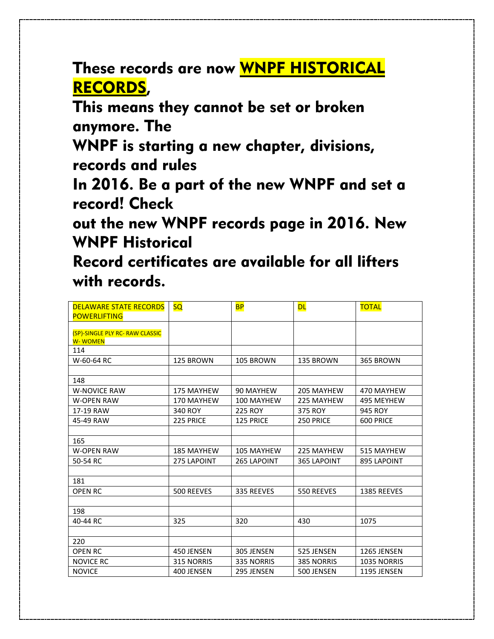These records are now WNPF HISTORICAL RECORDS,

This means they cannot be set or broken anymore. The

WNPF is starting a new chapter, divisions, records and rules

In 2016. Be a part of the new WNPF and set a record! Check

out the new WNPF records page in 2016. New WNPF Historical

Record certificates are available for all lifters with records.

| <b>DELAWARE STATE RECORDS</b>                     | <b>SQ</b>         | <b>BP</b>         | <b>DL</b>         | <b>TOTAL</b>   |
|---------------------------------------------------|-------------------|-------------------|-------------------|----------------|
| <b>POWERLIFTING</b>                               |                   |                   |                   |                |
| (SP)-SINGLE PLY RC- RAW CLASSIC<br><b>W-WOMEN</b> |                   |                   |                   |                |
| 114                                               |                   |                   |                   |                |
| W-60-64 RC                                        | 125 BROWN         | 105 BROWN         | 135 BROWN         | 365 BROWN      |
|                                                   |                   |                   |                   |                |
| 148                                               |                   |                   |                   |                |
| <b>W-NOVICE RAW</b>                               | <b>175 MAYHEW</b> | 90 MAYHEW         | 205 MAYHEW        | 470 MAYHEW     |
| <b>W-OPEN RAW</b>                                 | 170 MAYHEW        | 100 MAYHEW        | 225 MAYHEW        | 495 MEYHEW     |
| 17-19 RAW                                         | 340 ROY           | <b>225 ROY</b>    | 375 ROY           | <b>945 ROY</b> |
| 45-49 RAW                                         | 225 PRICE         | 125 PRICE         | 250 PRICE         | 600 PRICE      |
|                                                   |                   |                   |                   |                |
| 165                                               |                   |                   |                   |                |
| <b>W-OPEN RAW</b>                                 | <b>185 MAYHEW</b> | 105 MAYHEW        | 225 MAYHEW        | 515 MAYHEW     |
| 50-54 RC                                          | 275 LAPOINT       | 265 LAPOINT       | 365 LAPOINT       | 895 LAPOINT    |
|                                                   |                   |                   |                   |                |
| 181                                               |                   |                   |                   |                |
| <b>OPEN RC</b>                                    | 500 REEVES        | 335 REEVES        | 550 REEVES        | 1385 REEVES    |
|                                                   |                   |                   |                   |                |
| 198                                               |                   |                   |                   |                |
| 40-44 RC                                          | 325               | 320               | 430               | 1075           |
|                                                   |                   |                   |                   |                |
| 220                                               |                   |                   |                   |                |
| <b>OPEN RC</b>                                    | 450 JENSEN        | 305 JENSEN        | 525 JENSEN        | 1265 JENSEN    |
| <b>NOVICE RC</b>                                  | <b>315 NORRIS</b> | <b>335 NORRIS</b> | <b>385 NORRIS</b> | 1035 NORRIS    |
| <b>NOVICE</b>                                     | 400 JENSEN        | 295 JENSEN        | 500 JENSEN        | 1195 JENSEN    |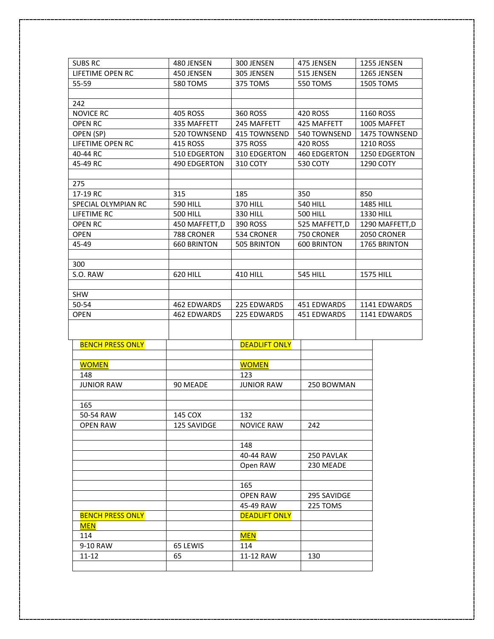| <b>SUBS RC</b>          | 480 JENSEN         | 300 JENSEN           | 475 JENSEN          | 1255 JENSEN      |
|-------------------------|--------------------|----------------------|---------------------|------------------|
| LIFETIME OPEN RC        | 450 JENSEN         | 305 JENSEN           | 515 JENSEN          | 1265 JENSEN      |
| 55-59                   | <b>580 TOMS</b>    | 375 TOMS             | 550 TOMS            | 1505 TOMS        |
|                         |                    |                      |                     |                  |
| 242                     |                    |                      |                     |                  |
| <b>NOVICE RC</b>        | 405 ROSS           | 360 ROSS             | 420 ROSS            | 1160 ROSS        |
| <b>OPEN RC</b>          | 335 MAFFETT        | 245 MAFFETT          | 425 MAFFETT         | 1005 MAFFET      |
| OPEN (SP)               | 520 TOWNSEND       | 415 TOWNSEND         | 540 TOWNSEND        | 1475 TOWNSEND    |
| LIFETIME OPEN RC        | 415 ROSS           | 375 ROSS             | 420 ROSS            | 1210 ROSS        |
| 40-44 RC                | 510 EDGERTON       | 310 EDGERTON         | <b>460 EDGERTON</b> | 1250 EDGERTON    |
| 45-49 RC                | 490 EDGERTON       | 310 COTY             | 530 COTY            | 1290 COTY        |
|                         |                    |                      |                     |                  |
| 275                     |                    |                      |                     |                  |
| 17-19 RC                | 315                | 185                  | 350                 | 850              |
| SPECIAL OLYMPIAN RC     | <b>590 HILL</b>    | <b>370 HILL</b>      | <b>540 HILL</b>     | <b>1485 HILL</b> |
| LIFETIME RC             | <b>500 HILL</b>    | <b>330 HILL</b>      | <b>500 HILL</b>     | 1330 HILL        |
| <b>OPEN RC</b>          | 450 MAFFETT, D     | 390 ROSS             | 525 MAFFETT, D      | 1290 MAFFETT, D  |
| <b>OPEN</b>             | 788 CRONER         | 534 CRONER           | 750 CRONER          | 2050 CRONER      |
| 45-49                   | <b>660 BRINTON</b> | 505 BRINTON          | <b>600 BRINTON</b>  | 1765 BRINTON     |
|                         |                    |                      |                     |                  |
| 300                     |                    |                      |                     |                  |
| S.O. RAW                | 620 HILL           | <b>410 HILL</b>      | <b>545 HILL</b>     | <b>1575 HILL</b> |
|                         |                    |                      |                     |                  |
| <b>SHW</b>              |                    |                      |                     |                  |
| 50-54                   | 462 EDWARDS        | 225 EDWARDS          | 451 EDWARDS         | 1141 EDWARDS     |
| <b>OPEN</b>             | 462 EDWARDS        | 225 EDWARDS          | 451 EDWARDS         | 1141 EDWARDS     |
|                         |                    |                      |                     |                  |
| <b>BENCH PRESS ONLY</b> |                    | <b>DEADLIFT ONLY</b> |                     |                  |
|                         |                    |                      |                     |                  |
| <b>WOMEN</b>            |                    | <b>WOMEN</b>         |                     |                  |
| 148                     |                    | 123                  |                     |                  |
| <b>JUNIOR RAW</b>       | 90 MEADE           | <b>JUNIOR RAW</b>    | 250 BOWMAN          |                  |
|                         |                    |                      |                     |                  |
| 165                     |                    |                      |                     |                  |
| 50-54 RAW               | 145 COX            | 132                  |                     |                  |
| <b>OPEN RAW</b>         | 125 SAVIDGE        | <b>NOVICE RAW</b>    | 242                 |                  |
|                         |                    |                      |                     |                  |
|                         |                    | 148                  |                     |                  |
|                         |                    | 40-44 RAW            | 250 PAVLAK          |                  |
|                         |                    | Open RAW             | 230 MEADE           |                  |
|                         |                    |                      |                     |                  |
|                         |                    | 165                  |                     |                  |
|                         |                    | <b>OPEN RAW</b>      | 295 SAVIDGE         |                  |
|                         |                    | 45-49 RAW            | 225 TOMS            |                  |
| <b>BENCH PRESS ONLY</b> |                    | <b>DEADLIFT ONLY</b> |                     |                  |
| <b>MEN</b>              |                    |                      |                     |                  |
| 114                     |                    | <b>MEN</b>           |                     |                  |
| 9-10 RAW                | 65 LEWIS           | 114                  |                     |                  |
| 11-12                   | 65                 | 11-12 RAW            | 130                 |                  |
|                         |                    |                      |                     |                  |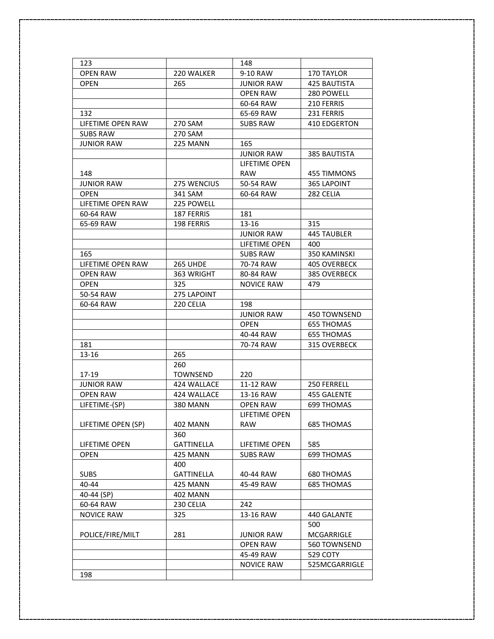| 123                  |                   | 148               |                     |
|----------------------|-------------------|-------------------|---------------------|
| <b>OPEN RAW</b>      | 220 WALKER        | 9-10 RAW          | 170 TAYLOR          |
| <b>OPEN</b>          | 265               | <b>JUNIOR RAW</b> | <b>425 BAUTISTA</b> |
|                      |                   | <b>OPEN RAW</b>   | 280 POWELL          |
|                      |                   | 60-64 RAW         | 210 FERRIS          |
| 132                  |                   | 65-69 RAW         | 231 FERRIS          |
| LIFETIME OPEN RAW    | 270 SAM           | SUBS RAW          | <b>410 EDGERTON</b> |
| <b>SUBS RAW</b>      | 270 SAM           |                   |                     |
| JUNIOR RAW           | 225 MANN          | 165               |                     |
|                      |                   | <b>JUNIOR RAW</b> | 385 BAUTISTA        |
|                      |                   | LIFETIME OPEN     |                     |
| 148                  |                   | <b>RAW</b>        | <b>455 TIMMONS</b>  |
| <b>JUNIOR RAW</b>    | 275 WENCIUS       | 50-54 RAW         | 365 LAPOINT         |
| <b>OPEN</b>          | 341 SAM           | 60-64 RAW         | 282 CELIA           |
| LIFETIME OPEN RAW    | 225 POWELL        |                   |                     |
| 60-64 RAW            | 187 FERRIS        | 181               |                     |
| 65-69 RAW            | 198 FERRIS        | 13-16             | 315                 |
|                      |                   | <b>JUNIOR RAW</b> | <b>445 TAUBLER</b>  |
|                      |                   | LIFETIME OPEN     | 400                 |
| 165                  |                   | <b>SUBS RAW</b>   | 350 KAMINSKI        |
| LIFETIME OPEN RAW    | <b>265 UHDE</b>   | 70-74 RAW         | 405 OVERBECK        |
| <b>OPEN RAW</b>      | 363 WRIGHT        | 80-84 RAW         | 385 OVERBECK        |
| <b>OPEN</b>          | 325               | <b>NOVICE RAW</b> | 479                 |
| 50-54 RAW            | 275 LAPOINT       |                   |                     |
| 60-64 RAW            | 220 CELIA         | 198               |                     |
|                      |                   | <b>JUNIOR RAW</b> | 450 TOWNSEND        |
|                      |                   | <b>OPEN</b>       | <b>655 THOMAS</b>   |
|                      |                   | 40-44 RAW         | 655 THOMAS          |
| 181                  |                   | 70-74 RAW         | 315 OVERBECK        |
| 13-16                | 265               |                   |                     |
|                      | 260               |                   |                     |
| $17-19$              | <b>TOWNSEND</b>   | 220               |                     |
| <b>JUNIOR RAW</b>    | 424 WALLACE       | 11-12 RAW         | 250 FERRELL         |
| <b>OPEN RAW</b>      | 424 WALLACE       | 13-16 RAW         | 455 GALENTE         |
| LIFETIME-(SP)        | <b>380 MANN</b>   | <b>OPEN RAW</b>   | 699 THOMAS          |
|                      |                   | LIFETIME OPEN     |                     |
| LIFETIME OPEN (SP)   | <b>402 MANN</b>   | <b>RAW</b>        | <b>685 THOMAS</b>   |
|                      | 360               |                   |                     |
| <b>LIFETIME OPEN</b> | <b>GATTINELLA</b> | LIFETIME OPEN     | 585                 |
| <b>OPEN</b>          | 425 MANN          | <b>SUBS RAW</b>   | 699 THOMAS          |
|                      | 400               |                   |                     |
| <b>SUBS</b>          | <b>GATTINELLA</b> | 40-44 RAW         | 680 THOMAS          |
| 40-44                | 425 MANN          | 45-49 RAW         | <b>685 THOMAS</b>   |
| 40-44 (SP)           | <b>402 MANN</b>   |                   |                     |
| 60-64 RAW            | 230 CELIA         | 242               |                     |
| <b>NOVICE RAW</b>    | 325               | 13-16 RAW         | 440 GALANTE         |
|                      |                   |                   | 500                 |
| POLICE/FIRE/MILT     | 281               | <b>JUNIOR RAW</b> | MCGARRIGLE          |
|                      |                   | <b>OPEN RAW</b>   | 560 TOWNSEND        |
|                      |                   | 45-49 RAW         | 529 COTY            |
|                      |                   | <b>NOVICE RAW</b> | 525MCGARRIGLE       |
| 198                  |                   |                   |                     |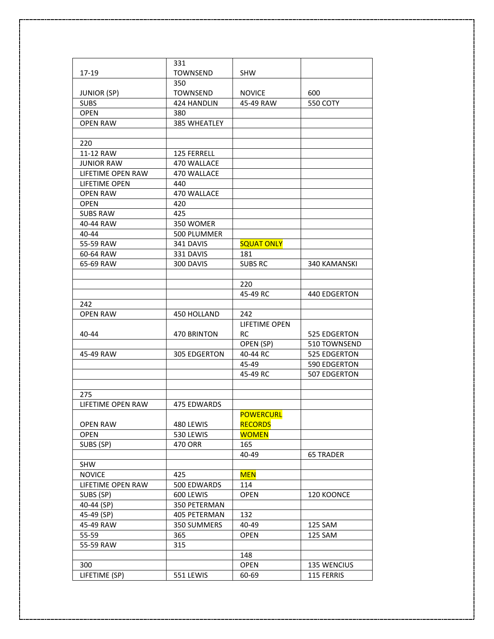|                          | 331                 |                   |                     |
|--------------------------|---------------------|-------------------|---------------------|
| 17-19                    | <b>TOWNSEND</b>     | <b>SHW</b>        |                     |
|                          | 350                 |                   |                     |
| <b>JUNIOR (SP)</b>       | <b>TOWNSEND</b>     | <b>NOVICE</b>     | 600                 |
| <b>SUBS</b>              | 424 HANDLIN         | 45-49 RAW         | 550 COTY            |
| <b>OPEN</b>              | 380                 |                   |                     |
| <b>OPEN RAW</b>          | 385 WHEATLEY        |                   |                     |
|                          |                     |                   |                     |
| 220                      |                     |                   |                     |
| 11-12 RAW                | 125 FERRELL         |                   |                     |
| <b>JUNIOR RAW</b>        | 470 WALLACE         |                   |                     |
| LIFETIME OPEN RAW        | 470 WALLACE         |                   |                     |
| LIFETIME OPEN            | 440                 |                   |                     |
| <b>OPEN RAW</b>          | 470 WALLACE         |                   |                     |
| <b>OPEN</b>              | 420                 |                   |                     |
| <b>SUBS RAW</b>          | 425                 |                   |                     |
| 40-44 RAW                | 350 WOMER           |                   |                     |
| $40 - 44$                | 500 PLUMMER         |                   |                     |
| 55-59 RAW                | 341 DAVIS           | <b>SQUAT ONLY</b> |                     |
| 60-64 RAW                | 331 DAVIS           | 181               |                     |
| 65-69 RAW                | 300 DAVIS           | <b>SUBS RC</b>    | <b>340 KAMANSKI</b> |
|                          |                     |                   |                     |
|                          |                     | 220               |                     |
|                          |                     | 45-49 RC          | 440 EDGERTON        |
| 242                      |                     |                   |                     |
| <b>OPEN RAW</b>          | 450 HOLLAND         | 242               |                     |
|                          |                     | LIFETIME OPEN     |                     |
| 40-44                    | 470 BRINTON         | <b>RC</b>         | 525 EDGERTON        |
|                          |                     | OPEN (SP)         | 510 TOWNSEND        |
| 45-49 RAW                | <b>305 EDGERTON</b> | 40-44 RC          | 525 EDGERTON        |
|                          |                     | 45-49             | 590 EDGERTON        |
|                          |                     | 45-49 RC          | 507 EDGERTON        |
|                          |                     |                   |                     |
| 275                      |                     |                   |                     |
| <b>LIFETIME OPEN RAW</b> | <b>475 EDWARDS</b>  |                   |                     |
|                          |                     | <b>POWERCURL</b>  |                     |
| <b>OPEN RAW</b>          | 480 LEWIS           | <b>RECORDS</b>    |                     |
| <b>OPEN</b>              | 530 LEWIS           | <b>WOMEN</b>      |                     |
| SUBS (SP)                | 470 ORR             | 165               |                     |
|                          |                     | 40-49             | <b>65 TRADER</b>    |
| <b>SHW</b>               |                     |                   |                     |
| <b>NOVICE</b>            | 425                 | <b>MEN</b>        |                     |
| LIFETIME OPEN RAW        | 500 EDWARDS         | 114               |                     |
| SUBS (SP)                | 600 LEWIS           | <b>OPEN</b>       | 120 KOONCE          |
| 40-44 (SP)               | 350 PETERMAN        |                   |                     |
| 45-49 (SP)               | 405 PETERMAN        | 132               |                     |
| 45-49 RAW                | 350 SUMMERS         | 40-49             | 125 SAM             |
| 55-59                    | 365                 | <b>OPEN</b>       | 125 SAM             |
| 55-59 RAW                | 315                 |                   |                     |
|                          |                     | 148               |                     |
| 300                      |                     | <b>OPEN</b>       | <b>135 WENCIUS</b>  |
| LIFETIME (SP)            | 551 LEWIS           | 60-69             | 115 FERRIS          |
|                          |                     |                   |                     |